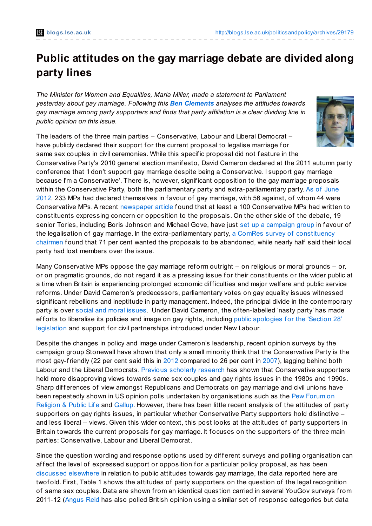## **Public attitudes on the gay marriage debate are divided along party lines**

*The Minister for Women and Equalities, Maria Miller, made a statement to Parliament yesterday about gay marriage. Following this Ben [Clements](http://blogs.lse.ac.uk/politicsandpolicy/archives/29179#author) analyses the attitudes towards gay marriage among party supporters and finds that party affiliation is a clear dividing line in public opinion on this issue.*

The leaders of the three main parties – Conservative, Labour and Liberal Democrat – have publicly declared their support for the current proposal to legalise marriage for



same sex couples in civil ceremonies. While this specific proposal did not feature in the Conservative Party's 2010 general election manifesto, David Cameron declared at the 2011 autumn party conf erence that 'I don't support gay marriage despite being a Conservative. I support gay marriage because I'm a Conservative'. There is, however, signif icant opposition to the gay marriage proposals within the Conservative Party, both the parliamentary party and [extra-parliamentary](http://www.independent.co.uk/news/uk/politics/we-do-mps-to-give-strong-show-of-support-to-samesex-marriage-7845045.html) party. As of June 2012, 233 MPs had declared themselves in f avour of gay marriage, with 56 against, of whom 44 were Conservative MPs. A recent [newspaper](http://www.dailymail.co.uk/news/article-2237617/Camerons-plan-allow-gay-marriage-set-trigger-biggest-Tory-rebellion-modern-times.html) article found that at least a 100 Conservative MPs had written to constituents expressing concern or opposition to the proposals. On the other side of the debate, 19 senior Tories, including Boris Johnson and Michael Gove, have just set up a [campaign](http://www.telegraph.co.uk/news/politics/9732038/Boris-Johnson-and-Michael-Gove-join-new-Tory-campaign-group-to-push-for-same-sex-marriage.html) group in favour of the legalisation of gay marriage. In the [extra-parliamentary](http://www.telegraph.co.uk/active/9591785/Drop-your-gay-marriage-laws-Tory-chairmen-tell-David-Cameron.html) party, a ComRes survey of constituency chairmen found that 71 per cent wanted the proposals to be abandoned, while nearly half said their local party had lost members over the issue.

Many Conservative MPs oppose the gay marriage reform outright  $-$  on religious or moral grounds  $-$  or, or on pragmatic grounds, do not regard it as a pressing issue for their constituents or the wider public at a time when Britain is experiencing prolonged economic difficulties and major welf are and public service ref orms. Under David Cameron's predecessors, parliamentary votes on gay equality issues witnessed signif icant rebellions and ineptitude in party management. Indeed, the principal divide in the contemporary party is over social and moral [issues](http://onlinelibrary.wiley.com/doi/10.1111/j.1467-923X.2010.02126.x/abstract). Under David Cameron, the often-labelled 'nasty party' has made efforts to liberalise its policies and image on gay rights, including public apologies for the 'Section 28' legislation and support for civil [partnerships](http://www.guardian.co.uk/politics/2009/jul/02/david-cameron-gay-pride-apology) introduced under New Labour.

Despite the changes in policy and image under Cameron's leadership, recent opinion surveys by the campaign group Stonewall have shown that only a small minority think that the Conservative Party is the most gay-friendly (22 per cent said this in [2012](http://www.stonewall.org.uk/documents/living_together_2012.pdf) compared to 26 per cent in [2007](http://www.stonewall.org.uk/documents/living_together.pdf)), lagging behind both Labour and the Liberal Democrats. Previous [scholarly](http://ijpor.oxfordjournals.org/content/7/1/23.abstract) research has shown that Conservative supporters held more disapproving views towards same sex couples and gay rights issues in the 1980s and 1990s. Sharp differences of view amongst Republicans and Democrats on gay marriage and civil unions have been repeatedly shown in US opinion polls undertaken by [organisations](http://features.pewforum.org/same-sex-marriage-attitudes/slide4.php) such as the Pew Forum on Religion & Public Life and [Gallup](http://www.gallup.com/poll/154529/Half-Americans-Support-Legal-Gay-Marriage.aspx). However, there has been little recent analysis of the attitudes of party supporters on gay rights issues, in particular whether Conservative Party supporters hold distinctive – and less liberal – views. Given this wider context, this post looks at the attitudes of party supporters in Britain towards the current proposals for gay marriage. It focuses on the supporters of the three main parties: Conservative, Labour and Liberal Democrat.

Since the question wording and response options used by different surveys and polling organisation can affect the level of expressed support or opposition for a particular policy proposal, as has been [discussed](http://ukpollingreport.co.uk/blog/archives/4984) elsewhere in relation to public attitudes towards gay marriage, the data reported here are twofold. First, Table 1 shows the attitudes of party supporters on the question of the legal recognition of same sex couples. Data are shown from an identical question carried in several YouGov surveys from 2011-12 [\(Angus](http://www.angus-reid.com/issue/same-sex-marriage/) Reid has also polled British opinion using a similar set of response categories but data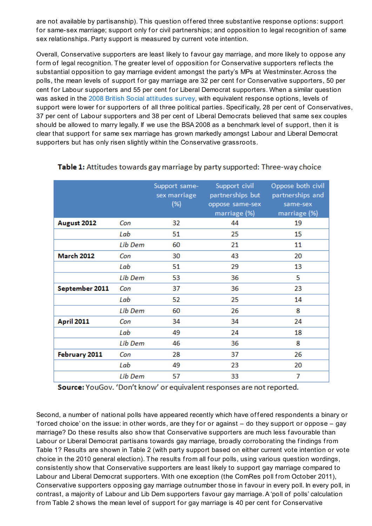are not available by partisanship). This question offered three substantive response options: support for same-sex marriage; support only for civil partnerships; and opposition to legal recognition of same sex relationships. Party support is measured by current vote intention.

Overall, Conservative supporters are least likely to favour gay marriage, and more likely to oppose any form of legal recognition. The greater level of opposition for Conservative supporters reflects the substantial opposition to gay marriage evident amongst the party's MPs at Westminster.Across the polls, the mean levels of support for gay marriage are 32 per cent for Conservative supporters, 50 per cent for Labour supporters and 55 per cent for Liberal Democrat supporters. When a similar question was asked in the 2008 British Social [attitudes](http://www.natcen.ac.uk/study/british-social-attitudes-26th-report) survey, with equivalent response options, levels of support were lower for supporters of all three political parties. Specifically, 28 per cent of Conservatives, 37 per cent of Labour supporters and 38 per cent of Liberal Democrats believed that same sex couples should be allowed to marry legally. If we use the BSA 2008 as a benchmark level of support, then it is clear that support for same sex marriage has grown markedly amongst Labour and Liberal Democrat supporters but has only risen slightly within the Conservative grassroots.

|                   |                | Support same-<br>sex marriage<br>(%) | Support civil<br>partnerships but<br>oppose same-sex<br>marriage (%) | Oppose both civil<br>partnerships and<br>same-sex<br>marriage (%) |
|-------------------|----------------|--------------------------------------|----------------------------------------------------------------------|-------------------------------------------------------------------|
| August 2012       | Con            | 32                                   | 44                                                                   | 19                                                                |
|                   | Lab            | 51                                   | 25                                                                   | 15                                                                |
|                   | <b>Lib Dem</b> | 60                                   | 21                                                                   | 11                                                                |
| <b>March 2012</b> | Con            | 30                                   | 43                                                                   | 20                                                                |
|                   | Lab            | 51                                   | 29                                                                   | 13                                                                |
|                   | <b>Lib Dem</b> | 53                                   | 36                                                                   | 5                                                                 |
| September 2011    | Con            | 37                                   | 36                                                                   | 23                                                                |
|                   | Lab            | 52                                   | 25                                                                   | 14                                                                |
|                   | Lib Dem        | 60                                   | 26                                                                   | 8                                                                 |
| <b>April 2011</b> | Con            | 34                                   | 34                                                                   | 24                                                                |
|                   | Lab            | 49                                   | 24                                                                   | 18                                                                |
|                   | <b>Lib Dem</b> | 46                                   | 36                                                                   | 8                                                                 |
| February 2011     | Con            | 28                                   | 37                                                                   | 26                                                                |
|                   | Lab            | 49                                   | 23                                                                   | 20                                                                |
|                   | Lib Dem        | 57                                   | 33                                                                   | 7                                                                 |

## Table 1: Attitudes towards gay marriage by party supported: Three-way choice

Source: YouGov. 'Don't know' or equivalent responses are not reported.

Second, a number of national polls have appeared recently which have offered respondents a binary or 'forced choice' on the issue: in other words, are they for or against  $-$  do they support or oppose  $-$  gay marriage? Do these results also show that Conservative supporters are much less f avourable than Labour or Liberal Democrat partisans towards gay marriage, broadly corroborating the findings from Table 1? Results are shown in Table 2 (with party support based on either current vote intention or vote choice in the 2010 general election). The results from all four polls, using various question wordings, consistently show that Conservative supporters are least likely to support gay marriage compared to Labour and Liberal Democrat supporters. With one exception (the ComRes poll from October 2011), Conservative supporters opposing gay marriage outnumber those in f avour in every poll. In every poll, in contrast, a majority of Labour and Lib Dem supporters f avour gay marriage.A 'poll of polls' calculation from Table 2 shows the mean level of support for gay marriage is 40 per cent for Conservative